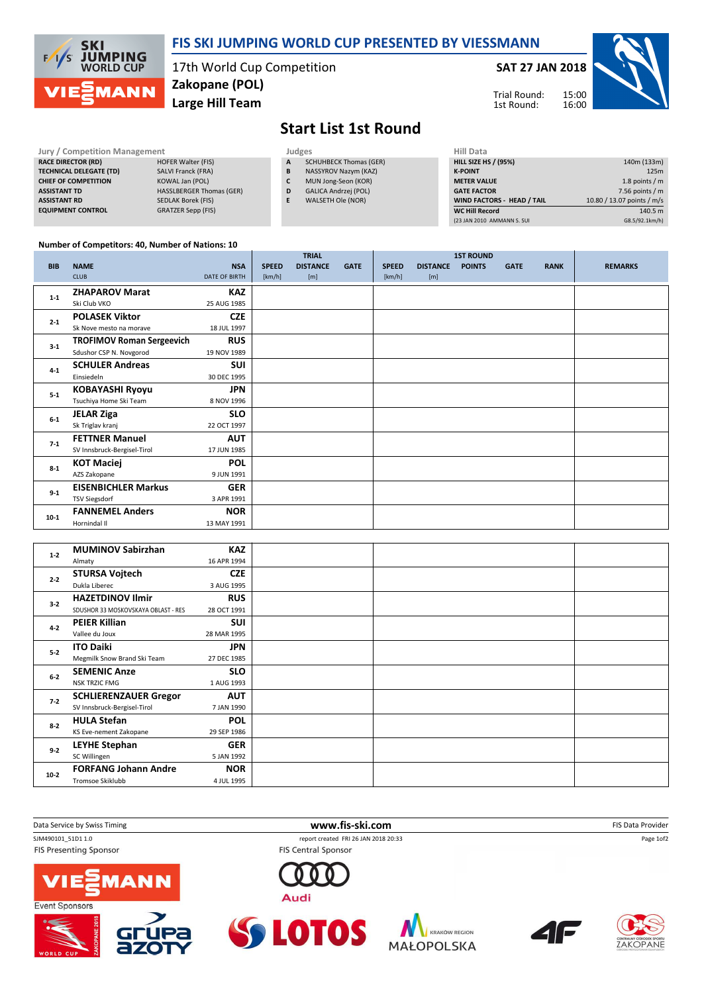

## FIS SKI JUMPING WORLD CUP PRESENTED BY VIESSMANN

17th World Cup Competition Zakopane (POL)

Large Hill Team

SAT 27 JAN 2018

15:00 16:00 Trial Round: 1st Round:



## Start List 1st Round

| <b>Jury / Competition Management</b> |                                 | Judges | <b>Hill Data</b>              |                    |
|--------------------------------------|---------------------------------|--------|-------------------------------|--------------------|
| <b>RACE DIRECTOR (RD)</b>            | <b>HOFER Walter (FIS)</b>       | A      | <b>SCHUHBECK Thomas (GER)</b> | <b>HILL SIZE H</b> |
| <b>TECHNICAL DELEGATE (TD)</b>       | <b>SALVI Franck (FRA)</b>       | в      | NASSYROV Nazym (KAZ)          | <b>K-POINT</b>     |
| <b>CHIEF OF COMPETITION</b>          | KOWAL Jan (POL)                 |        | MUN Jong-Seon (KOR)           | <b>METER VAI</b>   |
| <b>ASSISTANT TD</b>                  | <b>HASSLBERGER Thomas (GER)</b> | D      | <b>GALICA Andrzei (POL)</b>   | <b>GATE FACT</b>   |
| <b>ASSISTANT RD</b>                  | <b>SEDLAK Borek (FIS)</b>       |        | WALSETH Ole (NOR)             | <b>WIND FACT</b>   |
| <b>EQUIPMENT CONTROL</b>             | <b>GRATZER Sepp (FIS)</b>       |        |                               | <b>WC Hill Red</b> |

| Hiii Data                         |                            |
|-----------------------------------|----------------------------|
| <b>HILL SIZE HS / (95%)</b>       | 140m (133m)                |
| <b>K-POINT</b>                    | 125m                       |
| <b>METER VALUE</b>                | 1.8 points $/m$            |
| <b>GATE FACTOR</b>                | 7.56 points $/m$           |
| <b>WIND FACTORS - HEAD / TAIL</b> | 10.80 / 13.07 points / m/s |
| <b>WC Hill Record</b>             | 140.5 m                    |
| (23 JAN 2010 AMMANN S. SUI        | G8.5/92.1km/h)             |

## Number of Competitors: 40, Number of Nations: 10

|            |                                  |                      |              | <b>TRIAL</b>    |             |              |                 | <b>1ST ROUND</b> |             |             |                |
|------------|----------------------------------|----------------------|--------------|-----------------|-------------|--------------|-----------------|------------------|-------------|-------------|----------------|
| <b>BIB</b> | <b>NAME</b>                      | <b>NSA</b>           | <b>SPEED</b> | <b>DISTANCE</b> | <b>GATE</b> | <b>SPEED</b> | <b>DISTANCE</b> | <b>POINTS</b>    | <b>GATE</b> | <b>RANK</b> | <b>REMARKS</b> |
|            | <b>CLUB</b>                      | <b>DATE OF BIRTH</b> | [km/h]       | [m]             |             | [km/h]       | [m]             |                  |             |             |                |
| $1 - 1$    | <b>ZHAPAROV Marat</b>            | <b>KAZ</b>           |              |                 |             |              |                 |                  |             |             |                |
|            | Ski Club VKO                     | 25 AUG 1985          |              |                 |             |              |                 |                  |             |             |                |
| $2 - 1$    | <b>POLASEK Viktor</b>            | <b>CZE</b>           |              |                 |             |              |                 |                  |             |             |                |
|            | Sk Nove mesto na morave          | 18 JUL 1997          |              |                 |             |              |                 |                  |             |             |                |
| $3 - 1$    | <b>TROFIMOV Roman Sergeevich</b> | <b>RUS</b>           |              |                 |             |              |                 |                  |             |             |                |
|            | Sdushor CSP N. Novgorod          | 19 NOV 1989          |              |                 |             |              |                 |                  |             |             |                |
| $4 - 1$    | <b>SCHULER Andreas</b>           | <b>SUI</b>           |              |                 |             |              |                 |                  |             |             |                |
|            | Einsiedeln                       | 30 DEC 1995          |              |                 |             |              |                 |                  |             |             |                |
| $5 - 1$    | <b>KOBAYASHI Ryoyu</b>           | <b>JPN</b>           |              |                 |             |              |                 |                  |             |             |                |
|            | Tsuchiya Home Ski Team           | 8 NOV 1996           |              |                 |             |              |                 |                  |             |             |                |
| $6-1$      | <b>JELAR Ziga</b>                | <b>SLO</b>           |              |                 |             |              |                 |                  |             |             |                |
|            | Sk Triglav kranj                 | 22 OCT 1997          |              |                 |             |              |                 |                  |             |             |                |
|            | <b>FETTNER Manuel</b>            | <b>AUT</b>           |              |                 |             |              |                 |                  |             |             |                |
| $7 - 1$    | SV Innsbruck-Bergisel-Tirol      | 17 JUN 1985          |              |                 |             |              |                 |                  |             |             |                |
| $8 - 1$    | <b>KOT Maciej</b>                | <b>POL</b>           |              |                 |             |              |                 |                  |             |             |                |
|            | AZS Zakopane                     | 9 JUN 1991           |              |                 |             |              |                 |                  |             |             |                |
| $9 - 1$    | <b>EISENBICHLER Markus</b>       | <b>GER</b>           |              |                 |             |              |                 |                  |             |             |                |
|            | <b>TSV Siegsdorf</b>             | 3 APR 1991           |              |                 |             |              |                 |                  |             |             |                |
|            | <b>FANNEMEL Anders</b>           | <b>NOR</b>           |              |                 |             |              |                 |                  |             |             |                |
| $10-1$     | Hornindal II                     | 13 MAY 1991          |              |                 |             |              |                 |                  |             |             |                |

| $1 - 2$ | <b>MUMINOV Sabirzhan</b>            | <b>KAZ</b>  |  |  |
|---------|-------------------------------------|-------------|--|--|
|         | Almaty                              | 16 APR 1994 |  |  |
| $2 - 2$ | <b>STURSA Vojtech</b>               | <b>CZE</b>  |  |  |
|         | Dukla Liberec                       | 3 AUG 1995  |  |  |
| $3 - 2$ | <b>HAZETDINOV Ilmir</b>             | <b>RUS</b>  |  |  |
|         | SDUSHOR 33 MOSKOVSKAYA OBLAST - RES | 28 OCT 1991 |  |  |
| $4 - 2$ | <b>PEIER Killian</b>                | <b>SUI</b>  |  |  |
|         | Vallee du Joux                      | 28 MAR 1995 |  |  |
| $5 - 2$ | <b>ITO Daiki</b>                    | <b>JPN</b>  |  |  |
|         | Megmilk Snow Brand Ski Team         | 27 DEC 1985 |  |  |
| $6 - 2$ | <b>SEMENIC Anze</b>                 | <b>SLO</b>  |  |  |
|         | <b>NSK TRZIC FMG</b>                | 1 AUG 1993  |  |  |
| $7 - 2$ | <b>SCHLIERENZAUER Gregor</b>        | <b>AUT</b>  |  |  |
|         | SV Innsbruck-Bergisel-Tirol         | 7 JAN 1990  |  |  |
| $8 - 2$ | <b>HULA Stefan</b>                  | <b>POL</b>  |  |  |
|         | KS Eve-nement Zakopane              | 29 SEP 1986 |  |  |
| $9 - 2$ | <b>LEYHE Stephan</b>                | <b>GER</b>  |  |  |
|         | SC Willingen                        | 5 JAN 1992  |  |  |
| $10-2$  | <b>FORFANG Johann Andre</b>         | <b>NOR</b>  |  |  |
|         | Tromsoe Skiklubb                    | 4 JUL 1995  |  |  |

| Data Service by Swiss Timing              | www.fis-ski.com                            | FIS Data Provider |
|-------------------------------------------|--------------------------------------------|-------------------|
| SJM490101 51D1 1.0                        | report created FRI 26 JAN 2018 20:33       | Page 1of2         |
| <b>FIS Presenting Sponsor</b>             | <b>FIS Central Sponsor</b>                 |                   |
| <b>VIE EMANN</b><br><b>Event Sponsors</b> | Audi                                       |                   |
| $\sim$ $\sim$                             | <b>Contract Contract Contract Contract</b> |                   |